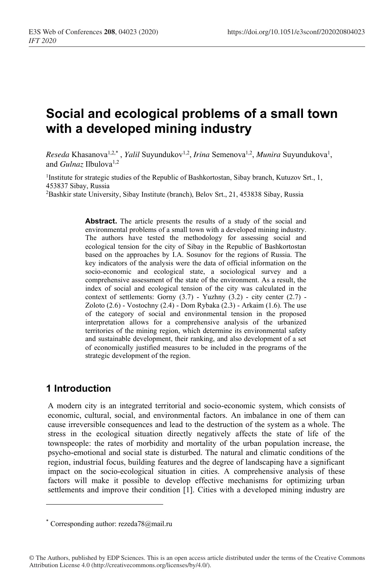# **Social and ecological problems of a small town with a developed mining industry**

Reseda Khasanova<sup>1,2,\*</sup>, *Yalil* Suyundukov<sup>1,2</sup>, *Irina* Semenova<sup>1,2</sup>, *Munira* Suyundukova<sup>1</sup>, and *Gulnaz* Ilbulova<sup>1,2</sup>

<sup>1</sup>Institute for strategic studies of the Republic of Bashkortostan, Sibay branch, Kutuzov Srt., 1, 453837 Sibay, Russia

2Bashkir state University, Sibay Institute (branch), Belov Srt., 21, 453838 Sibay, Russia

**Abstract.** The article presents the results of a study of the social and environmental problems of a small town with a developed mining industry. The authors have tested the methodology for assessing social and ecological tension for the city of Sibay in the Republic of Bashkortostan based on the approaches by I.A. Sosunov for the regions of Russia. The key indicators of the analysis were the data of official information on the socio-economic and ecological state, a sociological survey and a comprehensive assessment of the state of the environment. As a result, the index of social and ecological tension of the city was calculated in the context of settlements: Gorny  $(3.7)$  - Yuzhny  $(3.2)$  - city center  $(2.7)$  -Zoloto (2.6) - Vostochny (2.4) - Dom Rybaka (2.3) - Arkaim (1.6). The use of the category of social and environmental tension in the proposed interpretation allows for a comprehensive analysis of the urbanized territories of the mining region, which determine its environmental safety and sustainable development, their ranking, and also development of a set of economically justified measures to be included in the programs of the strategic development of the region.

## **1 Introduction**

A modern city is an integrated territorial and socio-economic system, which consists of economic, cultural, social, and environmental factors. An imbalance in one of them can cause irreversible consequences and lead to the destruction of the system as a whole. The stress in the ecological situation directly negatively affects the state of life of the townspeople: the rates of morbidity and mortality of the urban population increase, the psycho-emotional and social state is disturbed. The natural and climatic conditions of the region, industrial focus, building features and the degree of landscaping have a significant impact on the socio-ecological situation in cities. A comprehensive analysis of these factors will make it possible to develop effective mechanisms for optimizing urban settlements and improve their condition [1]. Cities with a developed mining industry are

<sup>\*</sup> Corresponding author: rezeda78@mail.ru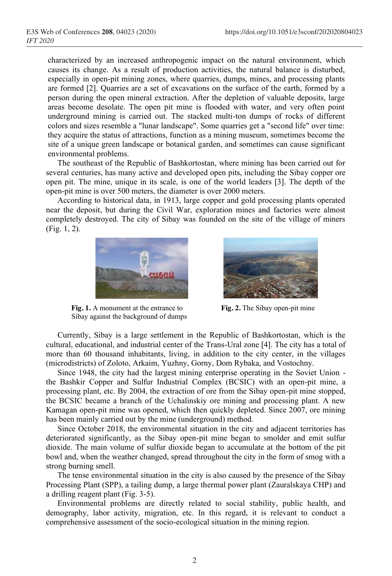characterized by an increased anthropogenic impact on the natural environment, which causes its change. As a result of production activities, the natural balance is disturbed, especially in open-pit mining zones, where quarries, dumps, mines, and processing plants are formed [2]. Quarries are a set of excavations on the surface of the earth, formed by a person during the open mineral extraction. After the depletion of valuable deposits, large areas become desolate. The open pit mine is flooded with water, and very often point underground mining is carried out. The stacked multi-ton dumps of rocks of different colors and sizes resemble a "lunar landscape". Some quarries get a "second life" over time: they acquire the status of attractions, function as a mining museum, sometimes become the site of a unique green landscape or botanical garden, and sometimes can cause significant environmental problems.

The southeast of the Republic of Bashkortostan, where mining has been carried out for several centuries, has many active and developed open pits, including the Sibay copper ore open pit. The mine, unique in its scale, is one of the world leaders [3]. The depth of the open-pit mine is over 500 meters, the diameter is over 2000 meters.

According to historical data, in 1913, large copper and gold processing plants operated near the deposit, but during the Civil War, exploration mines and factories were almost completely destroyed. The city of Sibay was founded on the site of the village of miners (Fig. 1, 2).



**Fig. 1.** A monument at the entrance to Sibay against the background of dumps



**Fig. 2.** The Sibay open-pit mine

Currently, Sibay is a large settlement in the Republic of Bashkortostan, which is the cultural, educational, and industrial center of the Trans-Ural zone [4]. The city has a total of more than 60 thousand inhabitants, living, in addition to the city center, in the villages (microdistricts) of Zoloto, Arkaim, Yuzhny, Gorny, Dom Rybaka, and Vostochny.

Since 1948, the city had the largest mining enterprise operating in the Soviet Union the Bashkir Copper and Sulfur Industrial Complex (BCSIC) with an open-pit mine, a processing plant, etc. By 2004, the extraction of ore from the Sibay open-pit mine stopped, the BCSIC became a branch of the Uchalinskiy ore mining and processing plant. A new Kamagan open-pit mine was opened, which then quickly depleted. Since 2007, ore mining has been mainly carried out by the mine (underground) method.

Since October 2018, the environmental situation in the city and adjacent territories has deteriorated significantly, as the Sibay open-pit mine began to smolder and emit sulfur dioxide. The main volume of sulfur dioxide began to accumulate at the bottom of the pit bowl and, when the weather changed, spread throughout the city in the form of smog with a strong burning smell.

The tense environmental situation in the city is also caused by the presence of the Sibay Processing Plant (SPP), a tailing dump, a large thermal power plant (Zauralskaya CHP) and a drilling reagent plant (Fig. 3-5).

Environmental problems are directly related to social stability, public health, and demography, labor activity, migration, etc. In this regard, it is relevant to conduct a comprehensive assessment of the socio-ecological situation in the mining region.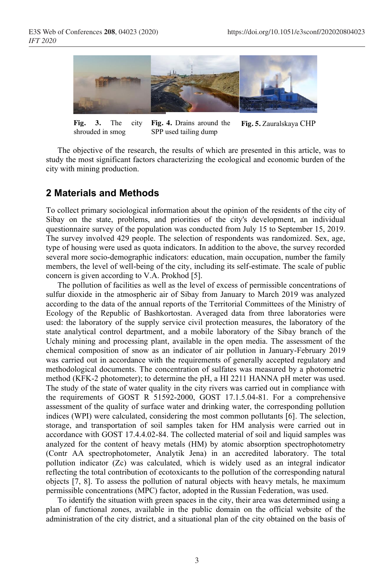

**Fig. 3.** The city shrouded in smog **Fig. 4.** Drains around the SPP used tailing dump **Fig. 5.** Zauralskaya CHP

The objective of the research, the results of which are presented in this article, was to study the most significant factors characterizing the ecological and economic burden of the city with mining production.

#### **2 Materials and Methods**

To collect primary sociological information about the opinion of the residents of the city of Sibay on the state, problems, and priorities of the city's development, an individual questionnaire survey of the population was conducted from July 15 to September 15, 2019. The survey involved 429 people. The selection of respondents was randomized. Sex, age, type of housing were used as quota indicators. In addition to the above, the survey recorded several more socio-demographic indicators: education, main occupation, number the family members, the level of well-being of the city, including its self-estimate. The scale of public concern is given according to V.A. Prokhod [5].

The pollution of facilities as well as the level of excess of permissible concentrations of sulfur dioxide in the atmospheric air of Sibay from January to March 2019 was analyzed according to the data of the annual reports of the Territorial Committees of the Ministry of Ecology of the Republic of Bashkortostan. Averaged data from three laboratories were used: the laboratory of the supply service civil protection measures, the laboratory of the state analytical control department, and a mobile laboratory of the Sibay branch of the Uchaly mining and processing plant, available in the open media. The assessment of the chemical composition of snow as an indicator of air pollution in January-February 2019 was carried out in accordance with the requirements of generally accepted regulatory and methodological documents. The concentration of sulfates was measured by a photometric method (KFK-2 photometer); to determine the pH, a HI 2211 HANNA pH meter was used. The study of the state of water quality in the city rivers was carried out in compliance with the requirements of GOST R 51592-2000, GOST 17.1.5.04-81. For a comprehensive assessment of the quality of surface water and drinking water, the corresponding pollution indices (WPI) were calculated, considering the most common pollutants [6]. The selection, storage, and transportation of soil samples taken for HM analysis were carried out in accordance with GOST 17.4.4.02-84. The collected material of soil and liquid samples was analyzed for the content of heavy metals (HM) by atomic absorption spectrophotometry (Contr AA spectrophotometer, Analytik Jena) in an accredited laboratory. The total pollution indicator (Zс) was calculated, which is widely used as an integral indicator reflecting the total contribution of ecotoxicants to the pollution of the corresponding natural objects [7, 8]. To assess the pollution of natural objects with heavy metals, he maximum permissible concentrations (MPC) factor, adopted in the Russian Federation, was used.

To identify the situation with green spaces in the city, their area was determined using a plan of functional zones, available in the public domain on the official website of the administration of the city district, and a situational plan of the city obtained on the basis of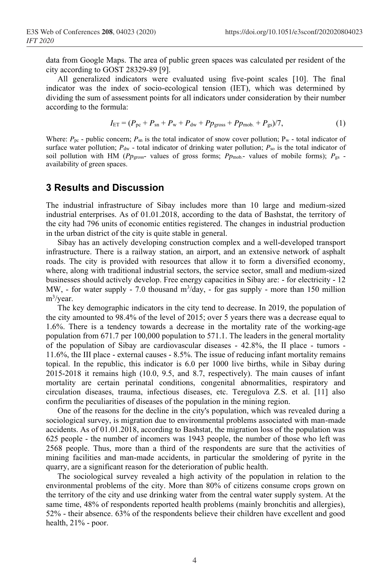data from Google Maps. The area of public green spaces was calculated per resident of the city according to GOST 28329-89 [9].

All generalized indicators were evaluated using five-point scales [10]. The final indicator was the index of socio-ecological tension (IET), which was determined by dividing the sum of assessment points for all indicators under consideration by their number according to the formula:

$$
I_{\text{ET}} = (P_{\text{pc}} + P_{\text{sn}} + P_{\text{w}} + P_{\text{dw}} + P p_{\text{gross}} + P p_{\text{mob.}} + P_{\text{gs}})/7, \tag{1}
$$

Where:  $P_{\text{pc}}$  - public concern;  $P_{\text{sn}}$  is the total indicator of snow cover pollution;  $P_{\text{w}}$  - total indicator of surface water pollution;  $P_{\text{dw}}$  - total indicator of drinking water pollution;  $P_{\text{so}}$  is the total indicator of soil pollution with HM ( $PP<sub>gross</sub>$  values of gross forms;  $PP<sub>prob</sub>$  values of mobile forms);  $P<sub>gs</sub>$  availability of green spaces.

### **3 Results and Discussion**

The industrial infrastructure of Sibay includes more than 10 large and medium-sized industrial enterprises. As of 01.01.2018, according to the data of Bashstat, the territory of the city had 796 units of economic entities registered. The changes in industrial production in the urban district of the city is quite stable in general.

Sibay has an actively developing construction complex and a well-developed transport infrastructure. There is a railway station, an airport, and an extensive network of asphalt roads. The city is provided with resources that allow it to form a diversified economy, where, along with traditional industrial sectors, the service sector, small and medium-sized businesses should actively develop. Free energy capacities in Sibay are: - for electricity - 12 MW, - for water supply - 7.0 thousand  $m^3$ /day, - for gas supply - more than 150 million m<sup>3</sup>/year.

The key demographic indicators in the city tend to decrease. In 2019, the population of the city amounted to 98.4% of the level of 2015; over 5 years there was a decrease equal to 1.6%. There is a tendency towards a decrease in the mortality rate of the working-age population from 671.7 per 100,000 population to 571.1. The leaders in the general mortality of the population of Sibay are cardiovascular diseases - 42.8%, the II place - tumors - 11.6%, the III place - external causes - 8.5%. The issue of reducing infant mortality remains topical. In the republic, this indicator is 6.0 per 1000 live births, while in Sibay during 2015-2018 it remains high (10.0, 9.5, and 8.7, respectively). The main causes of infant mortality are certain perinatal conditions, congenital abnormalities, respiratory and circulation diseases, trauma, infectious diseases, etc. Teregulova Z.S. et al. [11] also confirm the peculiarities of diseases of the population in the mining region.

One of the reasons for the decline in the city's population, which was revealed during a sociological survey, is migration due to environmental problems associated with man-made accidents. As of 01.01.2018, according to Bashstat, the migration loss of the population was 625 people - the number of incomers was 1943 people, the number of those who left was 2568 people. Thus, more than a third of the respondents are sure that the activities of mining facilities and man-made accidents, in particular the smoldering of pyrite in the quarry, are a significant reason for the deterioration of public health.

The sociological survey revealed a high activity of the population in relation to the environmental problems of the city. More than 80% of citizens consume crops grown on the territory of the city and use drinking water from the central water supply system. At the same time, 48% of respondents reported health problems (mainly bronchitis and allergies), 52% - their absence. 63% of the respondents believe their children have excellent and good health, 21% - poor.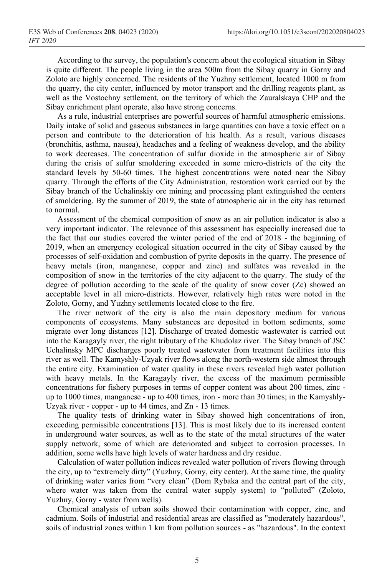According to the survey, the population's concern about the ecological situation in Sibay is quite different. The people living in the area 500m from the Sibay quarry in Gorny and Zoloto are highly concerned. The residents of the Yuzhny settlement, located 1000 m from the quarry, the city center, influenced by motor transport and the drilling reagents plant, as well as the Vostochny settlement, on the territory of which the Zauralskaya CHP and the Sibay enrichment plant operate, also have strong concerns.

As a rule, industrial enterprises are powerful sources of harmful atmospheric emissions. Daily intake of solid and gaseous substances in large quantities can have a toxic effect on a person and contribute to the deterioration of his health. As a result, various diseases (bronchitis, asthma, nausea), headaches and a feeling of weakness develop, and the ability to work decreases. The concentration of sulfur dioxide in the atmospheric air of Sibay during the crisis of sulfur smoldering exceeded in some micro-districts of the city the standard levels by 50-60 times. The highest concentrations were noted near the Sibay quarry. Through the efforts of the City Administration, restoration work carried out by the Sibay branch of the Uchalinskiy ore mining and processing plant extinguished the centers of smoldering. By the summer of 2019, the state of atmospheric air in the city has returned to normal.

Assessment of the chemical composition of snow as an air pollution indicator is also a very important indicator. The relevance of this assessment has especially increased due to the fact that our studies covered the winter period of the end of 2018 - the beginning of 2019, when an emergency ecological situation occurred in the city of Sibay caused by the processes of self-oxidation and combustion of pyrite deposits in the quarry. The presence of heavy metals (iron, manganese, copper and zinc) and sulfates was revealed in the composition of snow in the territories of the city adjacent to the quarry. The study of the degree of pollution according to the scale of the quality of snow cover (Zс) showed an acceptable level in all micro-districts. However, relatively high rates were noted in the Zoloto, Gorny, and Yuzhny settlements located close to the fire.

The river network of the city is also the main depository medium for various components of ecosystems. Many substances are deposited in bottom sediments, some migrate over long distances [12]. Discharge of treated domestic wastewater is carried out into the Karagayly river, the right tributary of the Khudolaz river. The Sibay branch of JSC Uchalinsky MPC discharges poorly treated wastewater from treatment facilities into this river as well. The Kamyshly-Uzyak river flows along the north-western side almost through the entire city. Examination of water quality in these rivers revealed high water pollution with heavy metals. In the Karagayly river, the excess of the maximum permissible concentrations for fishery purposes in terms of copper content was about 200 times, zinc up to 1000 times, manganese - up to 400 times, iron - more than 30 times; in the Kamyshly-Uzyak river - copper - up to 44 times, and Zn - 13 times.

The quality tests of drinking water in Sibay showed high concentrations of iron, exceeding permissible concentrations [13]. This is most likely due to its increased content in underground water sources, as well as to the state of the metal structures of the water supply network, some of which are deteriorated and subject to corrosion processes. In addition, some wells have high levels of water hardness and dry residue.

Calculation of water pollution indices revealed water pollution of rivers flowing through the city, up to "extremely dirty" (Yuzhny, Gorny, city center). At the same time, the quality of drinking water varies from "very clean" (Dom Rybaka and the central part of the city, where water was taken from the central water supply system) to "polluted" (Zoloto, Yuzhny, Gorny - water from wells).

Chemical analysis of urban soils showed their contamination with copper, zinc, and cadmium. Soils of industrial and residential areas are classified as "moderately hazardous", soils of industrial zones within 1 km from pollution sources - as "hazardous". In the context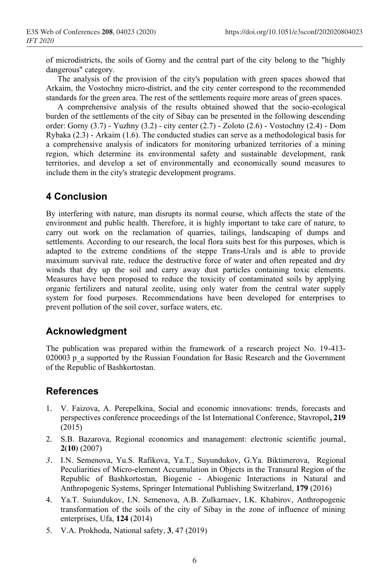of microdistricts, the soils of Gorny and the central part of the city belong to the "highly dangerous" category.

The analysis of the provision of the city's population with green spaces showed that Arkaim, the Vostochny micro-district, and the city center correspond to the recommended standards for the green area. The rest of the settlements require more areas of green spaces.

A comprehensive analysis of the results obtained showed that the socio-ecological burden of the settlements of the city of Sibay can be presented in the following descending order: Gorny (3.7) - Yuzhny (3.2) - city center (2.7) - Zoloto (2.6) - Vostochny (2.4) - Dom Rybaka (2.3) - Arkaim (1.6). The conducted studies can serve as a methodological basis for a comprehensive analysis of indicators for monitoring urbanized territories of a mining region, which determine its environmental safety and sustainable development, rank territories, and develop a set of environmentally and economically sound measures to include them in the city's strategic development programs.

## **4 Conclusion**

By interfering with nature, man disrupts its normal course, which affects the state of the environment and public health. Therefore, it is highly important to take care of nature, to carry out work on the reclamation of quarries, tailings, landscaping of dumps and settlements. According to our research, the local flora suits best for this purposes, which is adapted to the extreme conditions of the steppe Trans-Urals and is able to provide maximum survival rate, reduce the destructive force of water and often repeated and dry winds that dry up the soil and carry away dust particles containing toxic elements. Measures have been proposed to reduce the toxicity of contaminated soils by applying organic fertilizers and natural zeolite, using only water from the central water supply system for food purposes. Recommendations have been developed for enterprises to prevent pollution of the soil cover, surface waters, etc.

### **Acknowledgment**

The publication was prepared within the framework of a research project No. 19-413- 020003 p a supported by the Russian Foundation for Basic Research and the Government of the Republic of Bashkortostan.

### **References**

- 1. V. Faizova, A. Perepelkina, Social and economic innovations: trends, forecasts and perspectives conference proceedings of the Ist International Conference, Stavropol**, 219** (2015)
- 2. S.B. Bazarova, Regional economics and management: electronic scientific journal, **2(10)** (2007)
- *3.* I.N. Semenova, Yu.S. Rafikova, Ya.T., Suyundukov, G.Ya. Biktimerova, Regional Peculiarities of Micro-element Accumulation in Objects in the Transural Region of the Republic of Bashkortostan, Biogenic - Abiogenic Interactions in Natural and Anthropogenic Systems, Springer International Publishing Switzerland, **179** (2016)
- 4. Ya.T. Suiundukov, I.N. Semenova, A.B. Zulkarnaev, I.K. Khabirov, Anthropogenic transformation of the soils of the city of Sibay in the zone of influence of mining enterprises, Ufa, **124** (2014)
- 5. V.A. Prokhoda, National safety*,* **3**, 47 (2019)